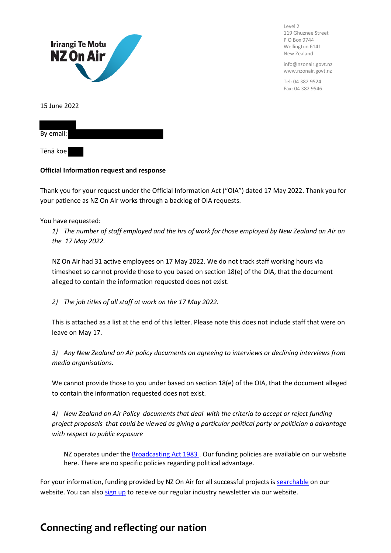

Level 2 119 Ghuznee Street P O Box 9744 Wellington 6141 New Zealand

info@nzonair.govt.nz www.nzonair.govt.nz

Tel: 04 382 9524 Fax: 04 382 9546

| By email: |  |  |  |
|-----------|--|--|--|
| Tēnā koe  |  |  |  |

## **Official Information request and response**

Thank you for your request under the Official Information Act ("OIA") dated 17 May 2022. Thank you for your patience as NZ On Air works through a backlog of OIA requests.

You have requested:

*1) The number of staff employed and the hrs of work for those employed by New Zealand on Air on the 17 May 2022.*

NZ On Air had 31 active employees on 17 May 2022. We do not track staff working hours via timesheet so cannot provide those to you based on section 18(e) of the OIA, that the document alleged to contain the information requested does not exist.

*2) The job titles of all staff at work on the 17 May 2022.*

This is attached as a list at the end of this letter. Please note this does not include staff that were on leave on May 17.

*3) Any New Zealand on Air policy documents on agreeing to interviews or declining interviews from media organisations.*

We cannot provide those to you under based on section 18(e) of the OIA, that the document alleged to contain the information requested does not exist.

*4) New Zealand on Air Policy documents that deal with the criteria to accept or reject funding project proposals that could be viewed as giving a particular political party or politician a advantage with respect to public exposure*

NZ operates under th[e Broadcasting Act 1983 .](https://www.legislation.govt.nz/act/public/1989/0025/latest/whole.html) Our funding policies are available on our website here. There are no specific policies regarding political advantage.

For your information, funding provided by NZ On Air for all successful projects is **searchable** on our website. You can als[o sign up](https://govt.us7.list-manage.com/subscribe?u=defea490d12b73c4ed8504b5b&id=1226faf438) to receive our regular industry newsletter via our website.

## **Connecting and reflecting our nation**